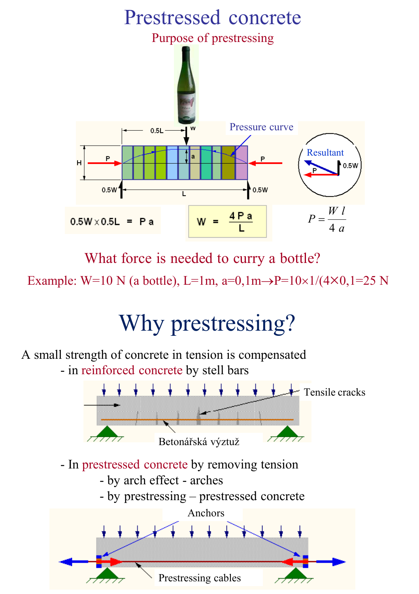

What force is needed to curry a bottle?

Example: W=10 N (a bottle), L=1m, a=0,1m $\rightarrow$ P=10×1/(4×0,1=25 N

# Why prestressing?

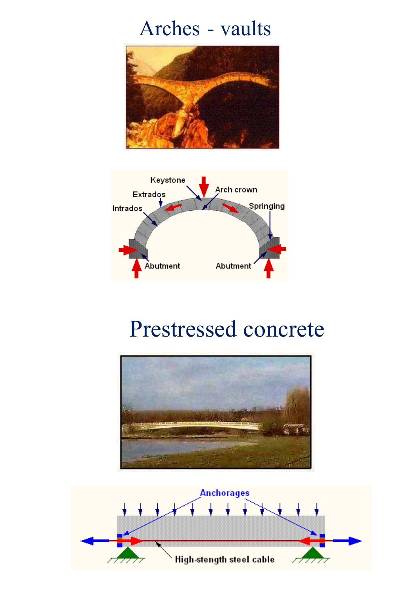#### Arches - vaults





#### Prestressed concrete



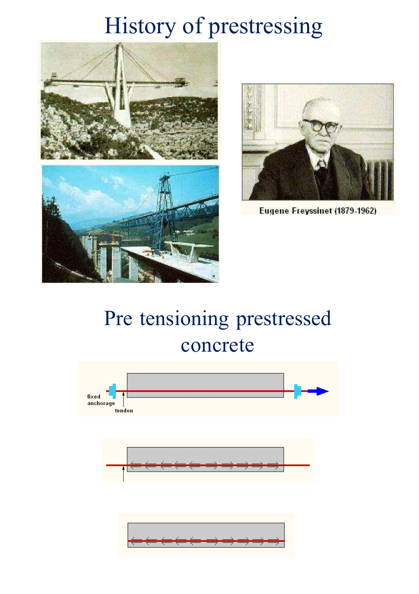## History of prestressing





Eugene Freyssinet (1879-1962)

## Pre tensioning prestressed concrete



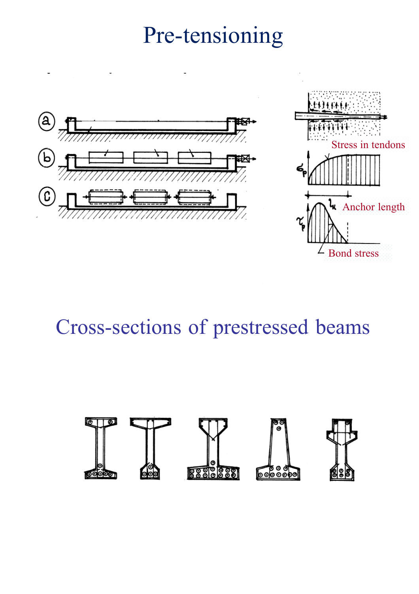## Pre-tensioning



#### Cross-sections of prestressed beams

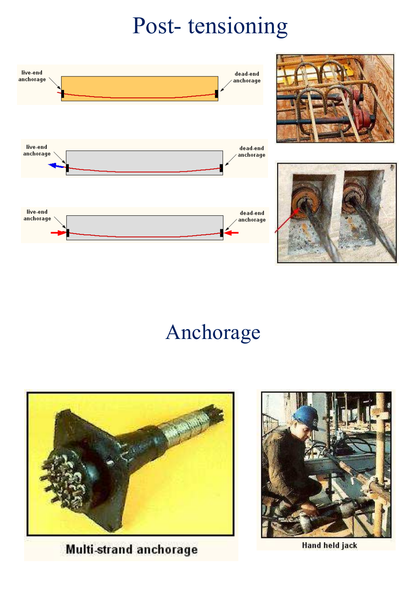# Post- tensioning







### Anchorage



Multi-strand anchorage



**Hand held jack**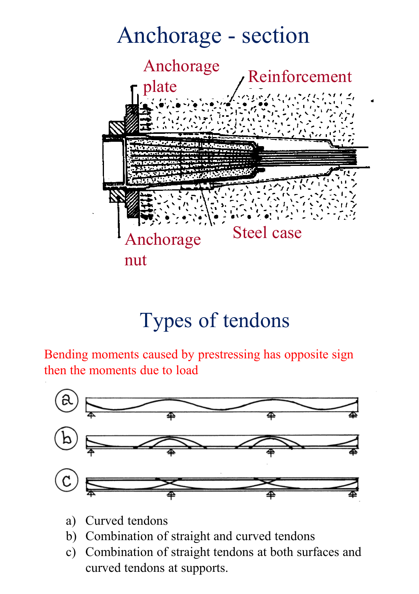

#### Types of tendons

Bending moments caused by prestressing has opposite sign then the moments due to load



- a) Curved tendons
- b) Combination of straight and curved tendons
- c) Combination of straight tendons at both surfaces and curved tendons at supports.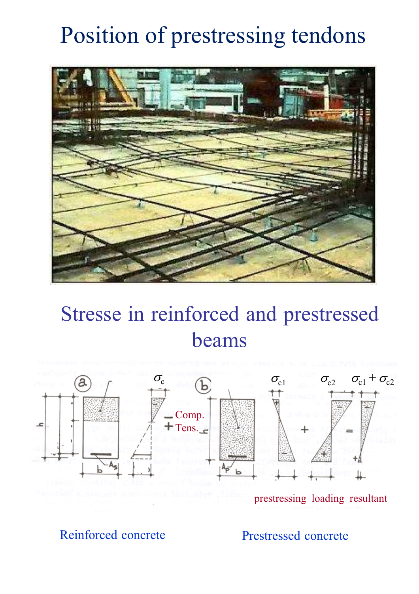# Position of prestressing tendons



#### Stresse in reinforced and prestressed beams



prestressing loading resultant

Reinforced concrete Prestressed concrete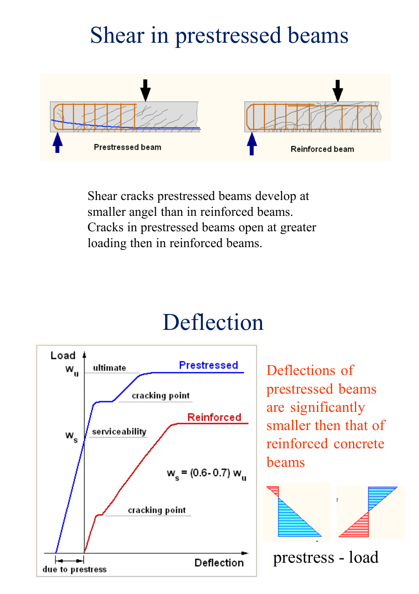# Shear in prestressed beams



Shear cracks prestressed beams develop at smaller angel than in reinforced beams. Cracks in prestressed beams open at greater loading then in reinforced beams.

## Deflection



Deflections of prestressed beams are significantly smaller then that of reinforced concrete beams



prestress - load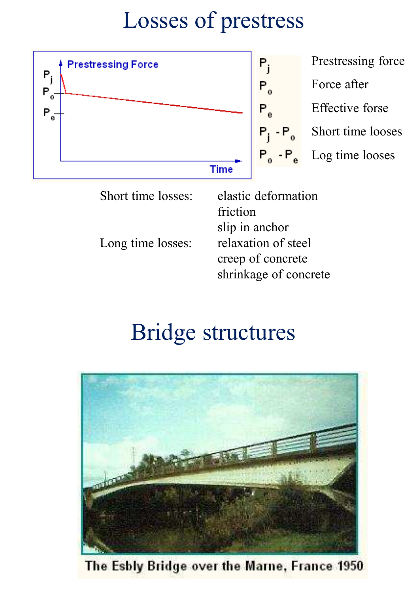## Losses of prestress



Prestressing force Force after Effective forse  $P_j$  -  $P_o$  Short time looses Log time looses

Short time losses: elastic deformation friction slip in anchor Long time losses: relaxation of steel creep of concrete shrinkage of concrete

## Bridge structures



The Esbly Bridge over the Marne, France 1950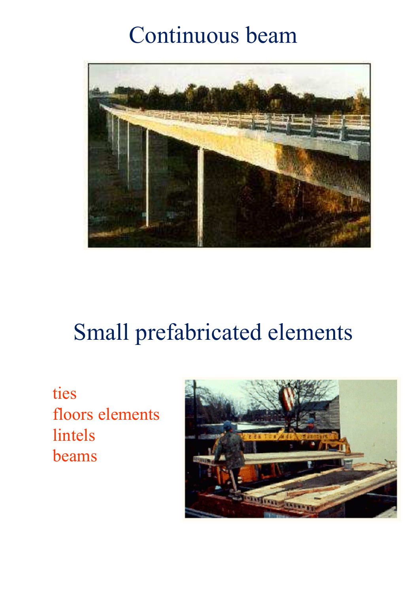## Continuous beam



## Small prefabricated elements

ties floors elements lintels beams